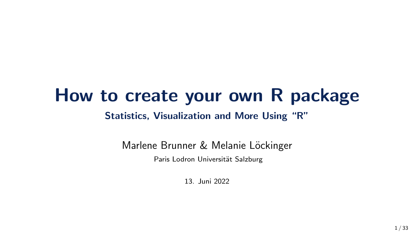### How to create your own R package Statistics, Visualization and More Using "R"

Marlene Brunner & Melanie Löckinger

Paris Lodron Universität Salzburg

13. Juni 2022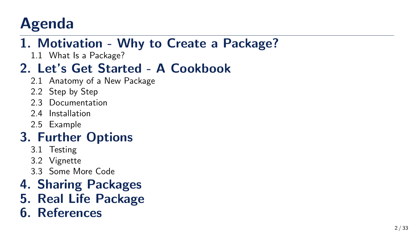# Agenda

#### 1. [Motivation - Why to Create a Package?](#page-2-0)

1.1 [What Is a Package?](#page-4-0)

#### 2. [Let's Get Started - A Cookbook](#page-6-0)

- 2.1 [Anatomy of a New Package](#page-7-0)
- 2.2 [Step by Step](#page-8-0)
- 2.3 [Documentation](#page-10-0)
- 2.4 [Installation](#page-13-0)
- 2.5 [Example](#page-16-0)

#### 3. [Further Options](#page-17-0)

- 3.1 [Testing](#page-17-0)
- 3.2 [Vignette](#page-23-0)
- 3.3 [Some More Code](#page-24-0)
- 4. [Sharing Packages](#page-26-0)
- 5. [Real Life Package](#page-29-0)
- 6. [References](#page-31-0)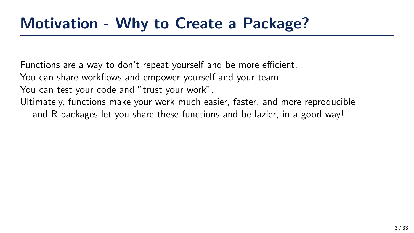<span id="page-2-0"></span>Functions are a way to don't repeat yourself and be more efficient.

You can share workflows and empower yourself and your team.

You can test your code and "trust your work".

Ultimately, functions make your work much easier, faster, and more reproducible ... and R packages let you share these functions and be lazier, in a good way!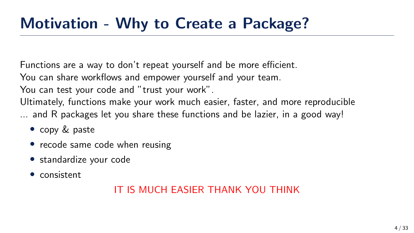Functions are a way to don't repeat yourself and be more efficient.

You can share workflows and empower yourself and your team.

You can test your code and "trust your work".

Ultimately, functions make your work much easier, faster, and more reproducible ... and R packages let you share these functions and be lazier, in a good way!

- copy & paste
- recode same code when reusing
- standardize your code
- consistent

#### IT IS MUCH EASIER THANK YOU THINK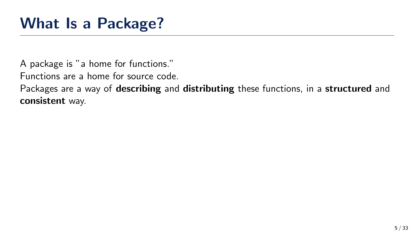<span id="page-4-0"></span>A package is "a home for functions."

Functions are a home for source code.

Packages are a way of **describing** and **distributing** these functions, in a **structured** and consistent way.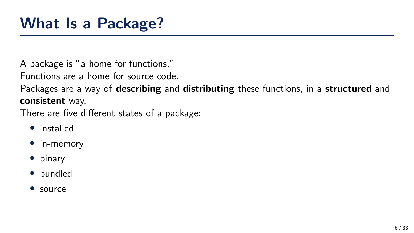A package is "a home for functions."

Functions are a home for source code.

Packages are a way of **describing** and **distributing** these functions, in a **structured** and consistent way.

There are five different states of a package:

- installed
- in-memory
- binary
- bundled
- source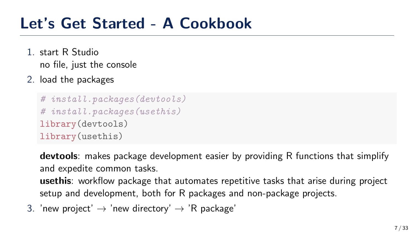#### <span id="page-6-0"></span>Let's Get Started - A Cookbook

- 1. start R Studio no file, just the console
- 2. load the packages

```
# install.packages(devtools)
# install.packages(usethis)
library(devtools)
library(usethis)
```
devtools: makes package development easier by providing R functions that simplify and expedite common tasks.

usethis: workflow package that automates repetitive tasks that arise during project setup and development, both for R packages and non-package projects.

3. 'new project'  $\rightarrow$  'new directory'  $\rightarrow$  'R package'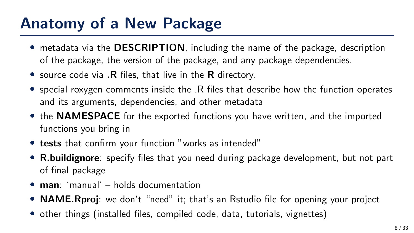## <span id="page-7-0"></span>Anatomy of a New Package

- metadata via the **DESCRIPTION**, including the name of the package, description of the package, the version of the package, and any package dependencies.
- source code via .R files, that live in the R directory.
- special roxygen comments inside the .R files that describe how the function operates and its arguments, dependencies, and other metadata
- the **NAMESPACE** for the exported functions you have written, and the imported functions you bring in
- tests that confirm your function "works as intended"
- R.buildignore: specify files that you need during package development, but not part of final package
- man: 'manual' holds documentation
- **NAME. Rproj**: we don't "need" it; that's an Rstudio file for opening your project
- other things (installed files, compiled code, data, tutorials, vignettes)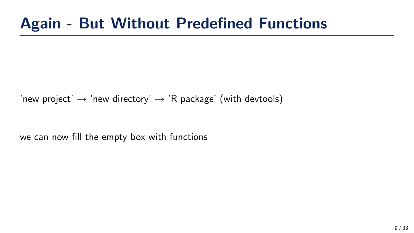## <span id="page-8-0"></span>Again - But Without Predefined Functions

'new project'  $\rightarrow$  'new directory'  $\rightarrow$  'R package' (with devtools)

we can now fill the empty box with functions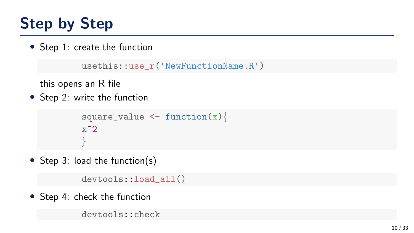# Step by Step

• Step 1: create the function

```
usethis::use_r('NewFunctionName.R')
```
this opens an R file

• Step 2: write the function

```
square_value \leftarrow function(x){
x^2}
```
• Step 3: load the function(s)

devtools::load\_all()

• Step 4: check the function

devtools:: check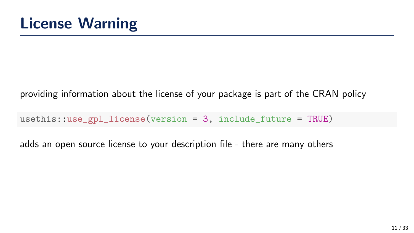<span id="page-10-0"></span>providing information about the license of your package is part of the CRAN policy

 $usethis:use\_gpl\_license(version = 3, include future = TRUE)$ 

adds an open source license to your description file - there are many others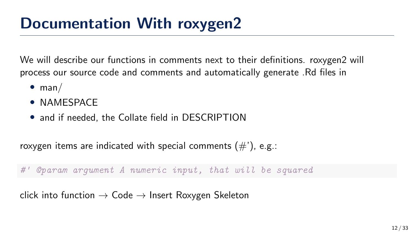We will describe our functions in comments next to their definitions. roxygen2 will process our source code and comments and automatically generate .Rd files in

- man/
- NAMESPACE
- and if needed, the Collate field in DESCRIPTION

roxygen items are indicated with special comments  $(\#')$ , e.g.:

#' @param argument A numeric input, that will be squared

click into function  $\rightarrow$  Code  $\rightarrow$  Insert Roxygen Skeleton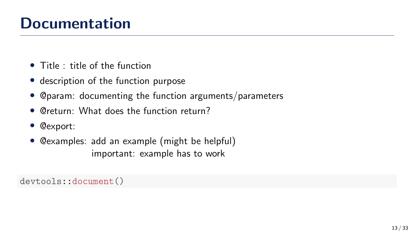## **Documentation**

- Title : title of the function
- description of the function purpose
- @param: documenting the function arguments/parameters
- @return: What does the function return?
- @export:
- @examples: add an example (might be helpful) important: example has to work

devtools::document()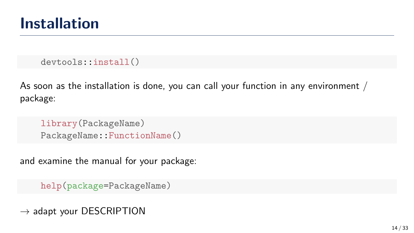<span id="page-13-0"></span>devtools::install()

As soon as the installation is done, you can call your function in any environment / package:

library(PackageName) PackageName::FunctionName()

and examine the manual for your package:

help(package=PackageName)

 $\rightarrow$  adapt your DESCRIPTION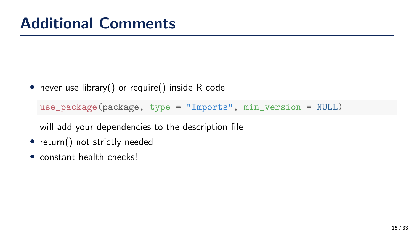• never use library() or require() inside R code

use\_package(package, type = "Imports", min\_version = NULL)

will add your dependencies to the description file

- return() not strictly needed
- constant health checks!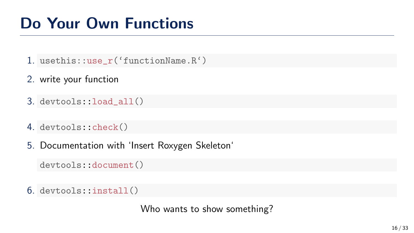- 1. usethis::use\_r('functionName.R')
- 2. write your function
- 3. devtools::load\_all()
- 4. devtools::check()
- 5. Documentation with 'Insert Roxygen Skeleton'

devtools::document()

6. devtools::install()

Who wants to show something?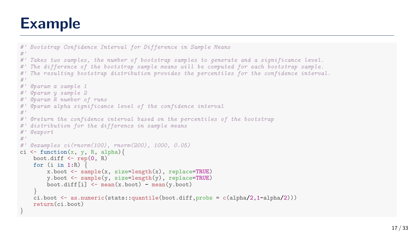### <span id="page-16-0"></span>Example

```
#' Bootstrap Confidence Interval for Difference in Sample Means
#'
#' Takes two samples, the number of bootstrap samples to generate and a significance level.
#' The difference of the bootstrap sample means will be computed for each bootstrap sample.
#' The resulting bootstrap distribution provides the percentiles for the confidence interval.
#'
#' @param x sample 1
#' @param y sample 2
#' @param R number of runs
#' @param alpha significance level of the confidence interval
#'
#' @return the confidence interval based on the percentiles of the bootstrap
#' distribution for the difference in sample means
#' @export
#'
#' @examples ci(rnorm(100), rnorm(200), 1000, 0.05)
ci \leq function(x, y, R, alpha){
    boot.diff \leq rep(0, R)for (i \text{ in } 1:R)x.boot \leq sample(x, size=length(x), replace=TRUE)
        y.boot <- sample(y, size=length(y), replace=TRUE)
        boot.diff[i] < -mean(x,boot) - mean(y,boot)}
    \text{c}i.boot \leq as.numeric(stats::quantile(boot.diff.probs = c(alpha/2,1-alpha/2)))
    return(ci.boot)
}
```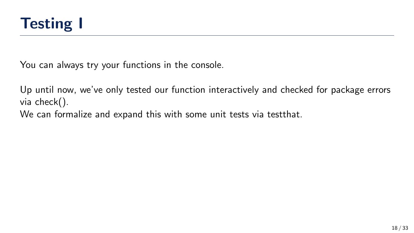<span id="page-17-0"></span>

You can always try your functions in the console.

Up until now, we've only tested our function interactively and checked for package errors via check().

We can formalize and expand this with some unit tests via testthat.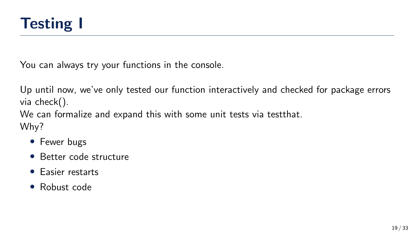

You can always try your functions in the console.

Up until now, we've only tested our function interactively and checked for package errors via check().

We can formalize and expand this with some unit tests via testthat. Why?

- Fewer bugs
- Better code structure
- Easier restarts
- Robust code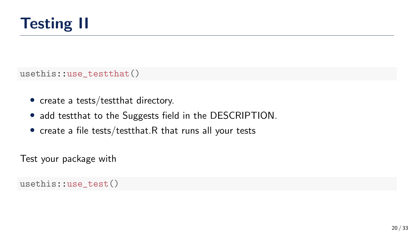

usethis::use\_testthat()

- create a tests/testthat directory.
- add testthat to the Suggests field in the DESCRIPTION.
- create a file tests/testthat.R that runs all your tests

Test your package with

usethis::use\_test()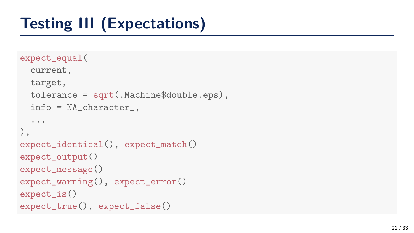# Testing III (Expectations)

```
expect_equal
(
  current,
  target,
  tolerance = sqrt(.Machine$double.eps),
  info = NA_character_,
  ...
),
expect_identical(), expect_match()
expect_output()
expect_message()
expect_warning(), expect_error()
expect_is()
expect_true(), expect_false()
```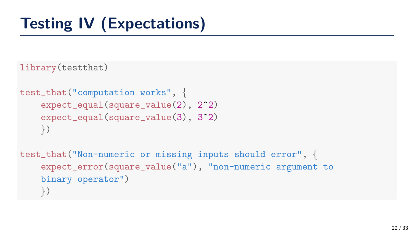# Testing IV (Expectations)

library(testthat)

```
test_that("computation works", {
    expect_equal(square_value(2), 2^2)
    expect_equal(square_value(3), 3^2)
    })
```

```
test_that("Non-numeric or missing inputs should error", {
    expect_error(square_value("a"), "non-numeric argument to
   binary operator")
    })
```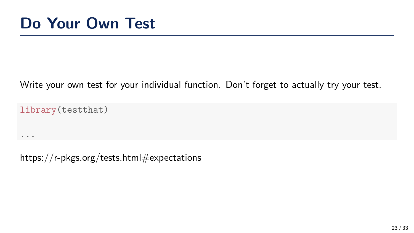#### Write your own test for your individual function. Don't forget to actually try your test.

library(testthat)

...

https://r-pkgs.org/tests.html#expectations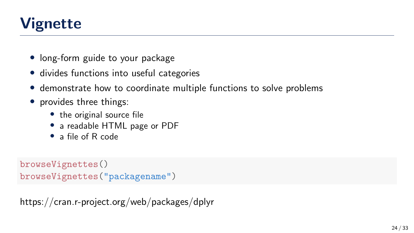## <span id="page-23-0"></span>Vignette

- long-form guide to your package
- divides functions into useful categories
- demonstrate how to coordinate multiple functions to solve problems
- provides three things:
	- the original source file
	- a readable HTML page or PDF
	- a file of R code

```
browseVignettes()
browseVignettes("packagename")
```
https://cran.r-project.org/web/packages/dplyr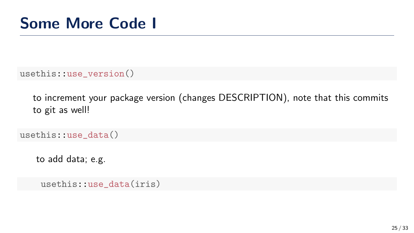<span id="page-24-0"></span>usethis::use\_version()

to increment your package version (changes DESCRIPTION), note that this commits to git as well!

usethis::use\_data()

to add data; e.g.

usethis::use\_data(iris)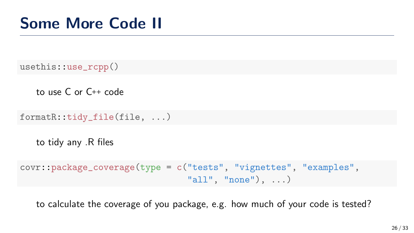usethis::use\_rcpp()

to use C or C++ code

formatR::tidy\_file(file, ...)

to tidy any .R files

```
covr::package_coverage(type = c("tests", "vignettes", "examples",
                                "all", "none"), ...)
```
to calculate the coverage of you package, e.g. how much of your code is tested?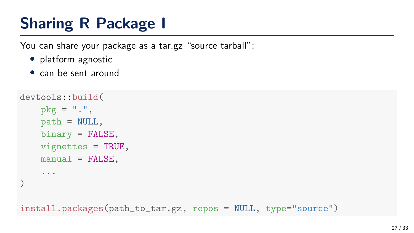## <span id="page-26-0"></span>Sharing R Package I

You can share your package as a tar.gz "source tarball":

- platform agnostic
- can be sent around

```
devtools::build(
    pkg = "."path = NULL,
    binary = FALSE,
   vignettes = TRUE,
    manual = FALSE,...
)
```
install.packages(path\_to\_tar.gz, repos = NULL, type="source")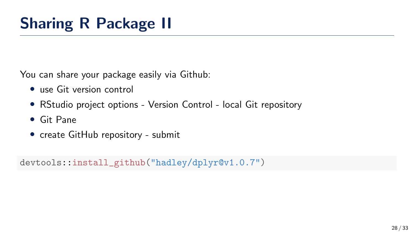You can share your package easily via Github:

- use Git version control
- RStudio project options Version Control local Git repository
- Git Pane
- create GitHub repository submit

devtools::install\_github("hadley/dplyr@v1.0.7")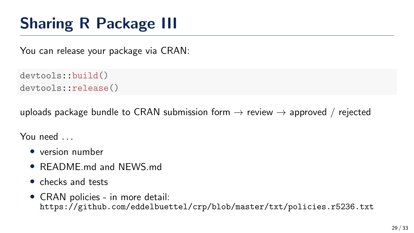## Sharing R Package III

You can release your package via CRAN:

```
devtools::build()
devtools::release()
```
uploads package bundle to CRAN submission form  $\rightarrow$  review  $\rightarrow$  approved / rejected

You need ...

- version number
- README.md and NEWS.md
- checks and tests
- CRAN policies in more detail: [https://github.com/eddelbuettel/crp/blob/master/txt/policies.r5236.txt]( https://github.com/eddelbuettel/crp/blob/master/txt/policies.r5236.txt )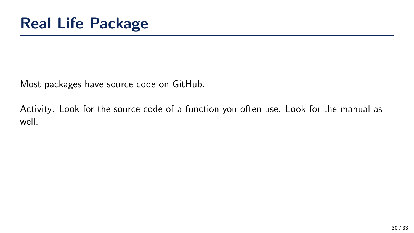<span id="page-29-0"></span>Most packages have source code on GitHub.

Activity: Look for the source code of a function you often use. Look for the manual as well.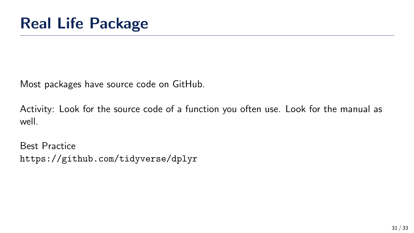Most packages have source code on GitHub.

Activity: Look for the source code of a function you often use. Look for the manual as well.

Best Practice <https://github.com/tidyverse/dplyr>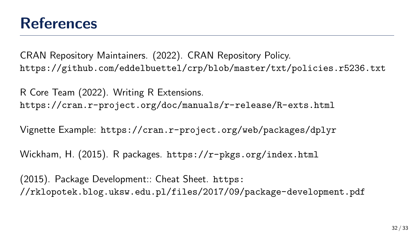#### <span id="page-31-0"></span>References

CRAN Repository Maintainers. (2022). CRAN Repository Policy. [https://github.com/eddelbuettel/crp/blob/master/txt/policies.r5236.txt]( https://github.com/eddelbuettel/crp/blob/master/txt/policies.r5236.txt )

R Core Team (2022). Writing R Extensions. <https://cran.r-project.org/doc/manuals/r-release/R-exts.html>

Vignette Example: <https://cran.r-project.org/web/packages/dplyr>

Wickham, H. (2015). R packages. <https://r-pkgs.org/index.html>

(2015). Package Development:: Cheat Sheet. [https:](https://rklopotek.blog.uksw.edu.pl/files/2017/09/package-development.pdf) [//rklopotek.blog.uksw.edu.pl/files/2017/09/package-development.pdf](https://rklopotek.blog.uksw.edu.pl/files/2017/09/package-development.pdf)